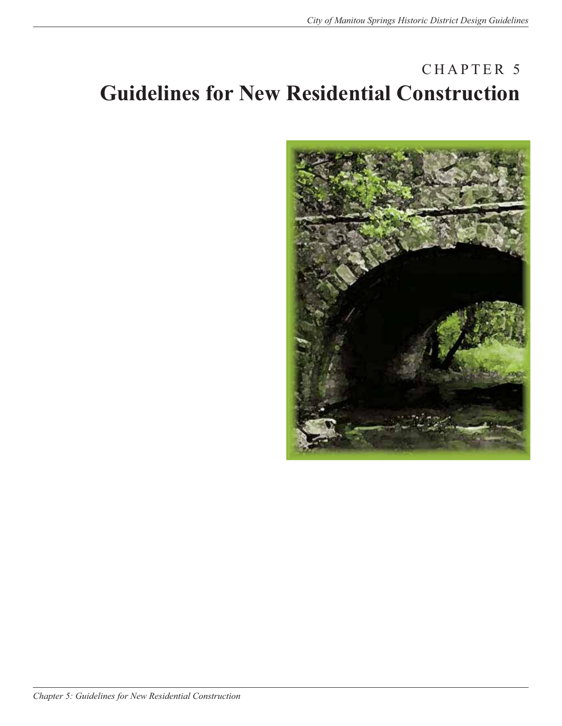# CHAPTER 5 **Guidelines for New Residential Construction**

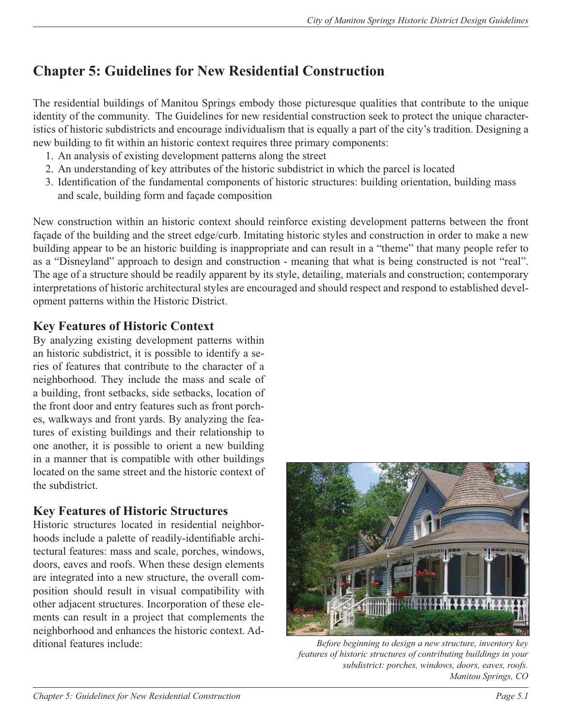# **Chapter 5: Guidelines for New Residential Construction**

The residential buildings of Manitou Springs embody those picturesque qualities that contribute to the unique identity of the community. The Guidelines for new residential construction seek to protect the unique characteristics of historic subdistricts and encourage individualism that is equally a part of the city's tradition. Designing a new building to fit within an historic context requires three primary components:

- 1. An analysis of existing development patterns along the street
- 2. An understanding of key attributes of the historic subdistrict in which the parcel is located
- 3. Identification of the fundamental components of historic structures: building orientation, building mass and scale, building form and façade composition

New construction within an historic context should reinforce existing development patterns between the front façade of the building and the street edge/curb. Imitating historic styles and construction in order to make a new building appear to be an historic building is inappropriate and can result in a "theme" that many people refer to as a "Disneyland" approach to design and construction - meaning that what is being constructed is not "real". The age of a structure should be readily apparent by its style, detailing, materials and construction; contemporary interpretations of historic architectural styles are encouraged and should respect and respond to established development patterns within the Historic District.

## **Key Features of Historic Context**

By analyzing existing development patterns within an historic subdistrict, it is possible to identify a series of features that contribute to the character of a neighborhood. They include the mass and scale of a building, front setbacks, side setbacks, location of the front door and entry features such as front porches, walkways and front yards. By analyzing the features of existing buildings and their relationship to one another, it is possible to orient a new building in a manner that is compatible with other buildings located on the same street and the historic context of the subdistrict.

## **Key Features of Historic Structures**

Historic structures located in residential neighborhoods include a palette of readily-identifiable architectural features: mass and scale, porches, windows, doors, eaves and roofs. When these design elements are integrated into a new structure, the overall composition should result in visual compatibility with other adjacent structures. Incorporation of these elements can result in a project that complements the neighborhood and enhances the historic context. Additional features include: *Before beginning to design a new structure, inventory key* 



*features of historic structures of contributing buildings in your subdistrict: porches, windows, doors, eaves, roofs. Manitou Springs, CO*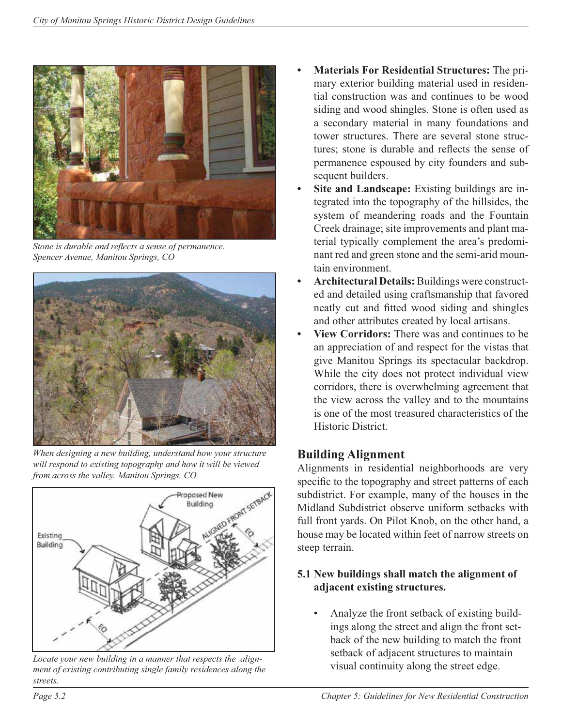

Stone is durable and reflects a sense of permanence. *Spencer Avenue, Manitou Springs, CO*



*When designing a new building, understand how your structure will respond to existing topography and how it will be viewed from across the valley. Manitou Springs, CO*



*Locate your new building in a manner that respects the alignment of existing contributing single family residences along the streets.*

- **• Materials For Residential Structures:** The primary exterior building material used in residential construction was and continues to be wood siding and wood shingles. Stone is often used as a secondary material in many foundations and tower structures. There are several stone structures; stone is durable and reflects the sense of permanence espoused by city founders and subsequent builders.
- **Site and Landscape:** Existing buildings are integrated into the topography of the hillsides, the system of meandering roads and the Fountain Creek drainage; site improvements and plant material typically complement the area's predominant red and green stone and the semi-arid mountain environment.
- **• Architectural Details:** Buildings were constructed and detailed using craftsmanship that favored neatly cut and fitted wood siding and shingles and other attributes created by local artisans.
- **• View Corridors:** There was and continues to be an appreciation of and respect for the vistas that give Manitou Springs its spectacular backdrop. While the city does not protect individual view corridors, there is overwhelming agreement that the view across the valley and to the mountains is one of the most treasured characteristics of the Historic District.

## **Building Alignment**

Alignments in residential neighborhoods are very specific to the topography and street patterns of each subdistrict. For example, many of the houses in the Midland Subdistrict observe uniform setbacks with full front yards. On Pilot Knob, on the other hand, a house may be located within feet of narrow streets on steep terrain.

#### **5.1 New buildings shall match the alignment of adjacent existing structures.**

• Analyze the front setback of existing buildings along the street and align the front setback of the new building to match the front setback of adjacent structures to maintain visual continuity along the street edge.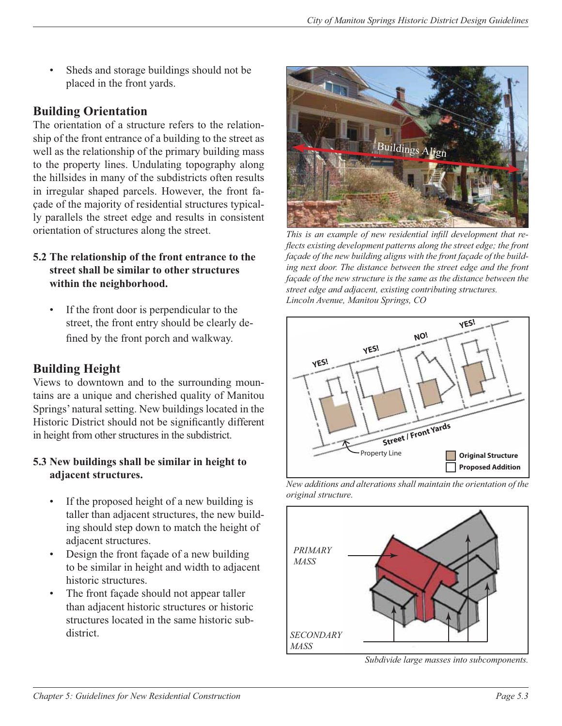Sheds and storage buildings should not be placed in the front yards.

## **Building Orientation**

The orientation of a structure refers to the relationship of the front entrance of a building to the street as well as the relationship of the primary building mass to the property lines. Undulating topography along the hillsides in many of the subdistricts often results in irregular shaped parcels. However, the front façade of the majority of residential structures typically parallels the street edge and results in consistent orientation of structures along the street.

#### **5.2 The relationship of the front entrance to the street shall be similar to other structures within the neighborhood.**

If the front door is perpendicular to the street, the front entry should be clearly defined by the front porch and walkway.

## **Building Height**

Views to downtown and to the surrounding mountains are a unique and cherished quality of Manitou Springs' natural setting. New buildings located in the Historic District should not be significantly different in height from other structures in the subdistrict.

#### **5.3 New buildings shall be similar in height to adjacent structures.**

- If the proposed height of a new building is taller than adjacent structures, the new building should step down to match the height of adjacent structures.
- Design the front façade of a new building to be similar in height and width to adjacent historic structures.
- The front façade should not appear taller than adjacent historic structures or historic structures located in the same historic subdistrict.



This is an example of new residential infill development that re*flects existing development patterns along the street edge; the front façade of the new building aligns with the front façade of the build*ing next door. The distance between the street edge and the front *façade of the new structure is the same as the distance between the street edge and adjacent, existing contributing structures. Lincoln Avenue, Manitou Springs, CO*







*Subdivide large masses into subcomponents.*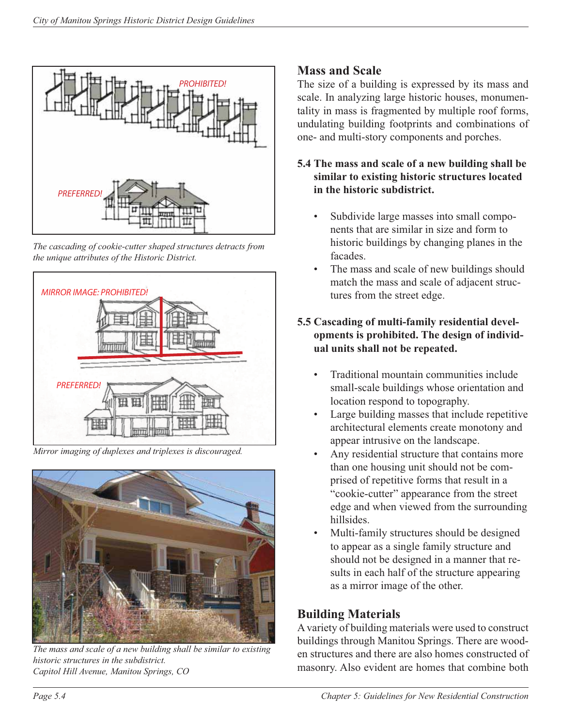

*The cascading of cookie-cutter shaped structures detracts from the unique attributes of the Historic District.*



*Mirror imaging of duplexes and triplexes is discouraged.*



*The mass and scale of a new building shall be similar to existing historic structures in the subdistrict. Capitol Hill Avenue, Manitou Springs, CO*

## **Mass and Scale**

The size of a building is expressed by its mass and scale. In analyzing large historic houses, monumentality in mass is fragmented by multiple roof forms, undulating building footprints and combinations of one- and multi-story components and porches.

#### **5.4 The mass and scale of a new building shall be similar to existing historic structures located in the historic subdistrict.**

- Subdivide large masses into small components that are similar in size and form to historic buildings by changing planes in the facades.
- The mass and scale of new buildings should match the mass and scale of adjacent structures from the street edge.

## **5.5 Cascading of multi-family residential developments is prohibited. The design of individual units shall not be repeated.**

- Traditional mountain communities include small-scale buildings whose orientation and location respond to topography.
- Large building masses that include repetitive architectural elements create monotony and appear intrusive on the landscape.
- Any residential structure that contains more than one housing unit should not be comprised of repetitive forms that result in a "cookie-cutter" appearance from the street edge and when viewed from the surrounding hillsides.
- Multi-family structures should be designed to appear as a single family structure and should not be designed in a manner that results in each half of the structure appearing as a mirror image of the other.

## **Building Materials**

A variety of building materials were used to construct buildings through Manitou Springs. There are wooden structures and there are also homes constructed of masonry. Also evident are homes that combine both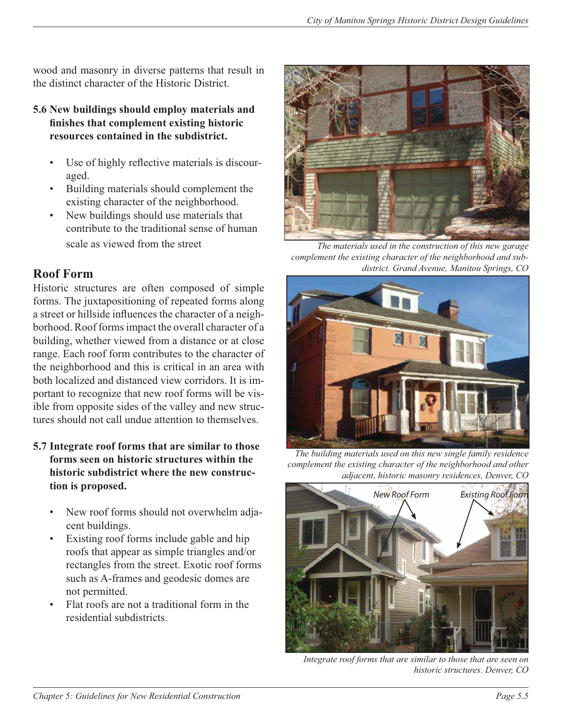wood and masonry in diverse patterns that result in the distinct character of the Historic District.

- **5.6 New buildings should employ materials and**  finishes that complement existing historic **resources contained in the subdistrict.**
	- Use of highly reflective materials is discouraged.
	- Building materials should complement the existing character of the neighborhood.
	- New buildings should use materials that contribute to the traditional sense of human scale as viewed from the street

## **Roof Form**

Historic structures are often composed of simple forms. The juxtapositioning of repeated forms along a street or hillside influences the character of a neighborhood. Roof forms impact the overall character of a building, whether viewed from a distance or at close range. Each roof form contributes to the character of the neighborhood and this is critical in an area with both localized and distanced view corridors. It is important to recognize that new roof forms will be visible from opposite sides of the valley and new structures should not call undue attention to themselves.

- **5.7 Integrate roof forms that are similar to those forms seen on historic structures within the historic subdistrict where the new construction is proposed.**
	- New roof forms should not overwhelm adjacent buildings.
	- Existing roof forms include gable and hip roofs that appear as simple triangles and/or rectangles from the street. Exotic roof forms such as A-frames and geodesic domes are not permitted.
	- Flat roofs are not a traditional form in the residential subdistricts.



*The materials used in the construction of this new garage complement the existing character of the neighborhood and subdistrict. Grand Avenue, Manitou Springs, CO*



*The building materials used on this new single family residence complement the existing character of the neighborhood and other adjacent, historic masonry residences, Denver, CO*



*Integrate roof forms that are similar to those that are seen on historic structures. Denver, CO*